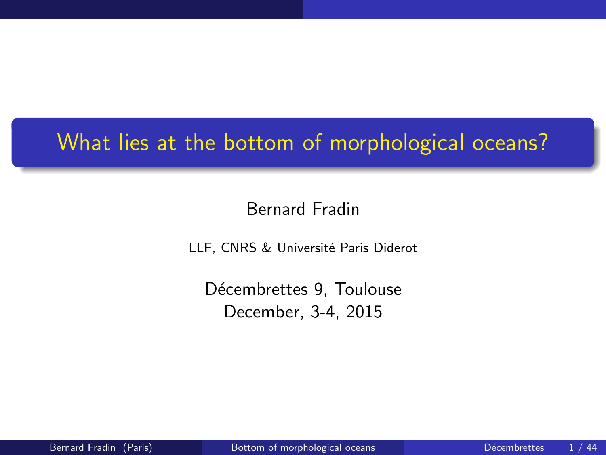# What lies at the bottom of morphological oceans?

#### Bernard Fradin

LLF, CNRS & Université Paris Diderot

<span id="page-0-0"></span>Décembrettes 9, Toulouse December, 3-4, 2015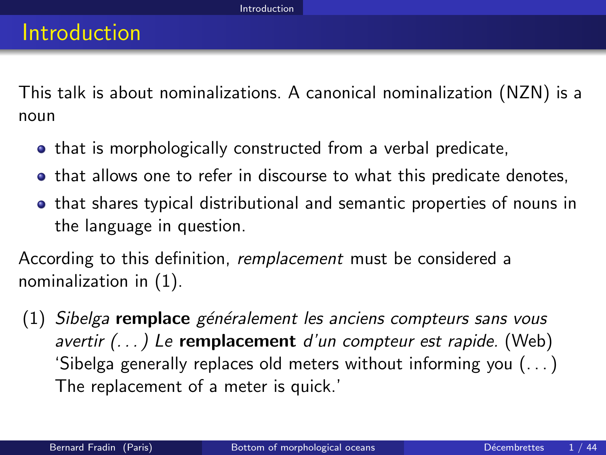This talk is about nominalizations. A canonical nominalization (NZN) is a noun

- **•** that is morphologically constructed from a verbal predicate,
- **•** that allows one to refer in discourse to what this predicate denotes,
- that shares typical distributional and semantic properties of nouns in the language in question.

According to this definition, remplacement must be considered a nominalization in [\(1\)](#page-1-1).

<span id="page-1-1"></span><span id="page-1-0"></span> $(1)$  Sibelga remplace généralement les anciens compteurs sans vous  $a$ vertir  $( \ldots )$  Le remplacement d'un compteur est rapide. (Web) 'Sibelga generally replaces old meters without informing you (. . . ) The replacement of a meter is quick.'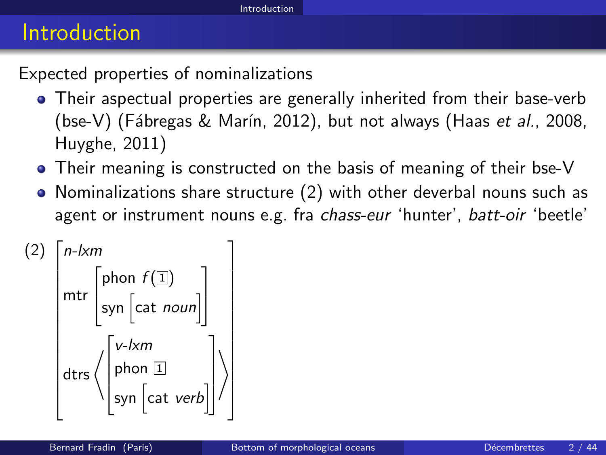#### Introduction

Expected properties of nominalizations

- Their aspectual properties are generally inherited from their base-verb (bse-V) (Fábregas & Marín, 2012), but not always (Haas et al., 2008, Huyghe, 2011)
- Their meaning is constructed on the basis of meaning of their bse-V
- Nominalizations share structure [\(2\)](#page-2-1) with other deverbal nouns such as agent or instrument nouns e.g. fra chass-eur 'hunter', batt-oir 'beetle'

<span id="page-2-1"></span><span id="page-2-0"></span>(2) n-lxm mtr  $\sqrt{ }$  $\overline{1}$ phon  $f(\mathbb I)$ syn  $\lceil$ cat *noun* $\rceil$ 1  $\overline{1}$ dtrs $\Big\langle$ .ſ  $\cdot$ v-lxm phon  $\overline{1}$ syn  $\lceil$ cat *verb* $\rceil$ 1.  $\vert$  $\setminus$ 1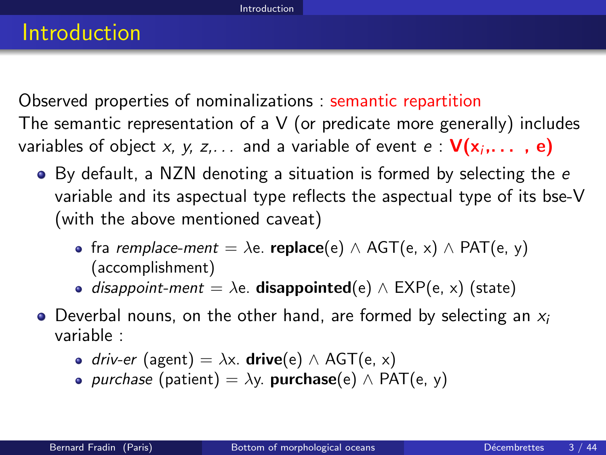Observed properties of nominalizations : semantic repartition The semantic representation of a V (or predicate more generally) includes variables of object *x, y, z,...* and a variable of event  $e: \mathsf{V}(\mathsf{x}_i, \dots$  ,  $\mathsf{e})$ 

- By default, a NZN denoting a situation is formed by selecting the e variable and its aspectual type reflects the aspectual type of its bse-V (with the above mentioned caveat)
	- fra *remplace-ment* =  $\lambda$ e. **replace**(e)  $\wedge$  AGT(e, x)  $\wedge$  PAT(e, y) (accomplishment)
	- disappoint-ment =  $\lambda$ e. **disappointed**(e)  $\wedge$  EXP(e, x) (state)
- <span id="page-3-0"></span> $\bullet$  Deverbal nouns, on the other hand, are formed by selecting an  $x_i$ variable :
	- $\bullet$  driv-er (agent) =  $\lambda$ x. **drive**(e) ∧ AGT(e, x)
	- *purchase* (patient) =  $\lambda y$ . **purchase**(e)  $\wedge$  PAT(e, y)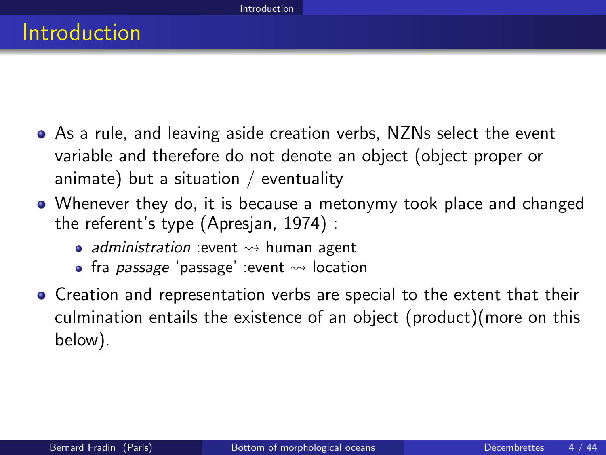- As a rule, and leaving aside creation verbs, NZNs select the event variable and therefore do not denote an object (object proper or animate) but a situation / eventuality
- Whenever they do, it is because a metonymy took place and changed the referent's type (Apresjan, 1974) :
	- administration : event  $\rightsquigarrow$  human agent
	- fra *passage* 'passage' :event  $\rightsquigarrow$  location
- <span id="page-4-0"></span>Creation and representation verbs are special to the extent that their culmination entails the existence of an object (product)(more on this below).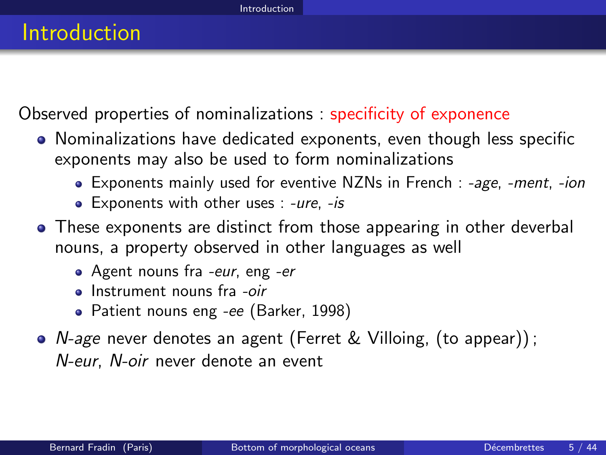Observed properties of nominalizations : specificity of exponence

- Nominalizations have dedicated exponents, even though less specific exponents may also be used to form nominalizations
	- Exponents mainly used for eventive NZNs in French : -age, -ment, -ion
	- Exponents with other uses : -ure, -is
- These exponents are distinct from those appearing in other deverbal nouns, a property observed in other languages as well
	- Agent nouns fra -eur, eng -er
	- **a** Instrument nouns fra -oir
	- Patient nouns eng -ee (Barker, 1998)
- <span id="page-5-0"></span>N-age never denotes an agent (Ferret & Villoing, (to appear)) ; N-eur, N-oir never denote an event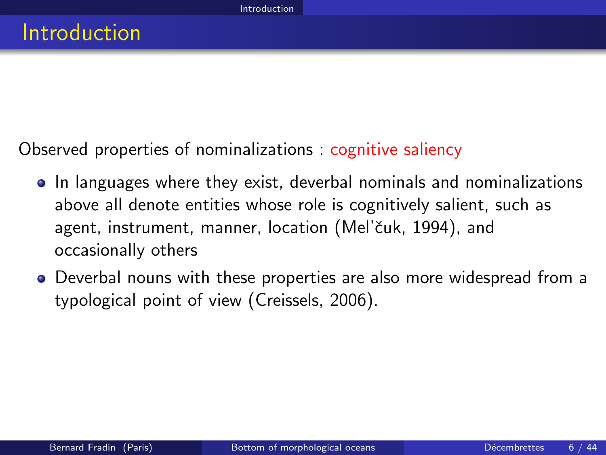Observed properties of nominalizations : cognitive saliency

- In languages where they exist, deverbal nominals and nominalizations above all denote entities whose role is cognitively salient, such as agent, instrument, manner, location (Mel'čuk, 1994), and occasionally others
- <span id="page-6-0"></span>Deverbal nouns with these properties are also more widespread from a typological point of view (Creissels, 2006).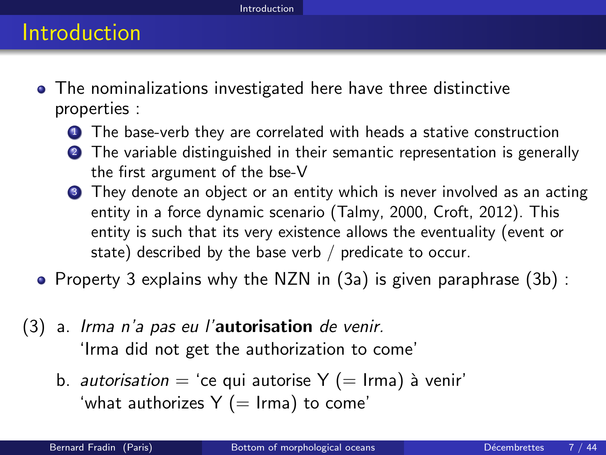#### Introduction

- The nominalizations investigated here have three distinctive properties :
	- **1** The base-verb they are correlated with heads a stative construction
	- **2** The variable distinguished in their semantic representation is generally the first argument of the bse-V
	- **3** They denote an object or an entity which is never involved as an acting entity in a force dynamic scenario (Talmy, 2000, Croft, 2012). This entity is such that its very existence allows the eventuality (event or state) described by the base verb / predicate to occur.
- Property 3 explains why the NZN in  $(3a)$  is given paraphrase  $(3b)$ :
- <span id="page-7-2"></span><span id="page-7-1"></span><span id="page-7-0"></span>(3) a. Irma n'a pas eu l'autorisation de venir. 'Irma did not get the authorization to come'
	- b. autorisation = 'ce qui autorise  $Y (= Irma)$  à venir' 'what authorizes  $Y (= Irma)$  to come'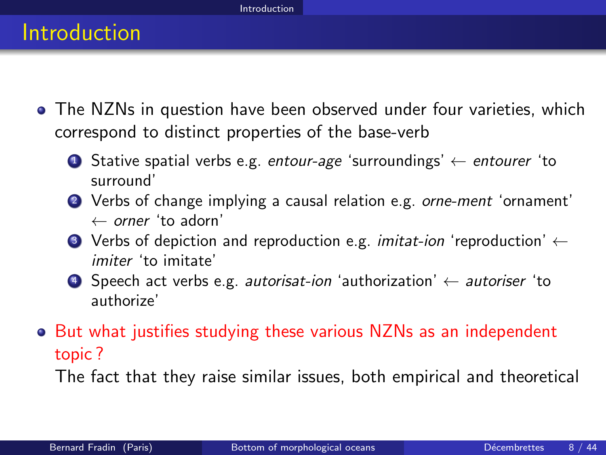- The NZNs in question have been observed under four varieties, which correspond to distinct properties of the base-verb
	- **1** Stative spatial verbs e.g. entour-age 'surroundings'  $\leftarrow$  entourer 'to surround'
	- <sup>2</sup> Verbs of change implying a causal relation e.g. orne-ment 'ornament'  $\leftarrow$  orner 'to adorn'
	- **3** Verbs of depiction and reproduction e.g. *imitat-ion* 'reproduction'  $\leftarrow$ imiter 'to imitate'
	- 4 Speech act verbs e.g. autorisat-ion 'authorization'  $\leftarrow$  autoriser 'to authorize'
- But what justifies studying these various NZNs as an independent topic ?

<span id="page-8-0"></span>The fact that they raise similar issues, both empirical and theoretical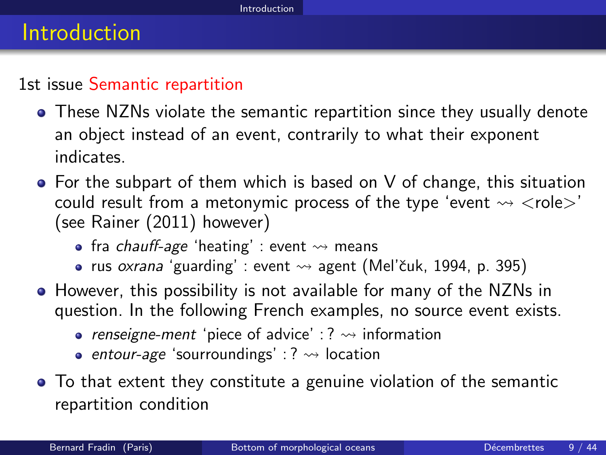#### Introduction

#### 1st issue Semantic repartition

- These NZNs violate the semantic repartition since they usually denote an object instead of an event, contrarily to what their exponent indicates.
- $\bullet$  For the subpart of them which is based on V of change, this situation could result from a metonymic process of the type 'event  $\rightsquigarrow$   $\lt$ role $>$ ' (see Rainer (2011) however)
	- fra *chauff-age* 'heating' : event  $\rightsquigarrow$  means
	- rus oxrana 'guarding' : event  $\rightsquigarrow$  agent (Mel'čuk, 1994, p. 395)
- However, this possibility is not available for many of the NZNs in question. In the following French examples, no source event exists.
	- renseigne-ment 'piece of advice' : ?  $\rightsquigarrow$  information
	- entour-age 'sourroundings' : ?  $\rightsquigarrow$  location
- <span id="page-9-0"></span>To that extent they constitute a genuine violation of the semantic repartition condition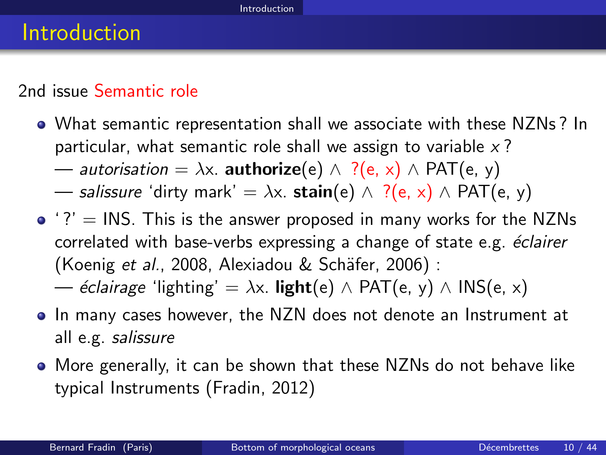#### 2nd issue Semantic role

- What semantic representation shall we associate with these NZNs ? In particular, what semantic role shall we assign to variable  $x$ ?
	- autorisation =  $\lambda x$ . **authorize**(e)  $\wedge$  ?(e, x)  $\wedge$  PAT(e, y)
	- salissure 'dirty mark' =  $\lambda x$ . stain(e)  $\wedge$  ?(e, x)  $\wedge$  PAT(e, y)
- $\bullet$  '?' = INS. This is the answer proposed in many works for the NZNs correlated with base-verbs expressing a change of state e.g. éclairer (Koenig *et al.*, 2008, Alexiadou & Schäfer, 2006) :
	- *éclairage* 'lighting' =  $\lambda x$ . **light**(e)  $\wedge$  PAT(e, y)  $\wedge$  INS(e, x)
- In many cases however, the NZN does not denote an Instrument at all e.g. salissure
- <span id="page-10-0"></span>More generally, it can be shown that these NZNs do not behave like typical Instruments (Fradin, 2012)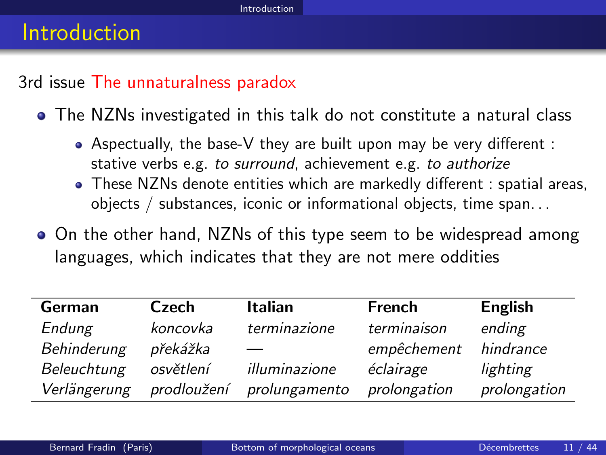#### Introduction

#### 3rd issue The unnaturalness paradox

The NZNs investigated in this talk do not constitute a natural class

- Aspectually, the base-V they are built upon may be very different : stative verbs e.g. to surround, achievement e.g. to authorize
- These NZNs denote entities which are markedly different : spatial areas, objects / substances, iconic or informational objects, time span. . .
- On the other hand, NZNs of this type seem to be widespread among languages, which indicates that they are not mere oddities

<span id="page-11-0"></span>

| German       | Czech       | <b>Italian</b> | French       | English      |
|--------------|-------------|----------------|--------------|--------------|
| Endung       | koncovka    | terminazione   | terminaison  | ending       |
| Behinderung  | překážka    |                | empêchement  | hindrance    |
| Beleuchtung  | osvětlení   | illuminazione  | éclairage    | lighting     |
| Verlängerung | prodloužení | prolungamento  | prolongation | prolongation |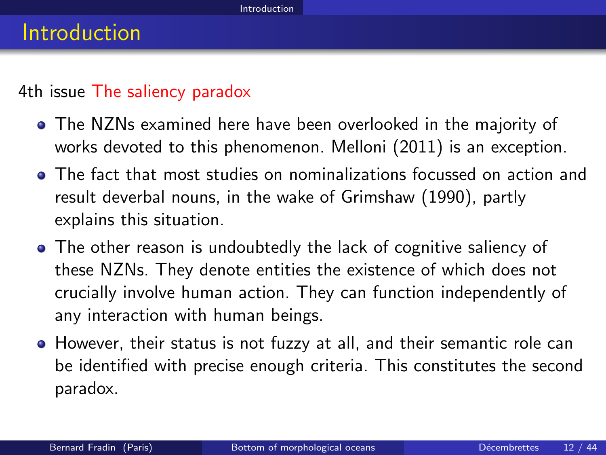#### 4th issue The saliency paradox

- The NZNs examined here have been overlooked in the majority of works devoted to this phenomenon. Melloni (2011) is an exception.
- The fact that most studies on nominalizations focussed on action and result deverbal nouns, in the wake of Grimshaw (1990), partly explains this situation.
- The other reason is undoubtedly the lack of cognitive saliency of these NZNs. They denote entities the existence of which does not crucially involve human action. They can function independently of any interaction with human beings.
- <span id="page-12-0"></span>However, their status is not fuzzy at all, and their semantic role can be identified with precise enough criteria. This constitutes the second paradox.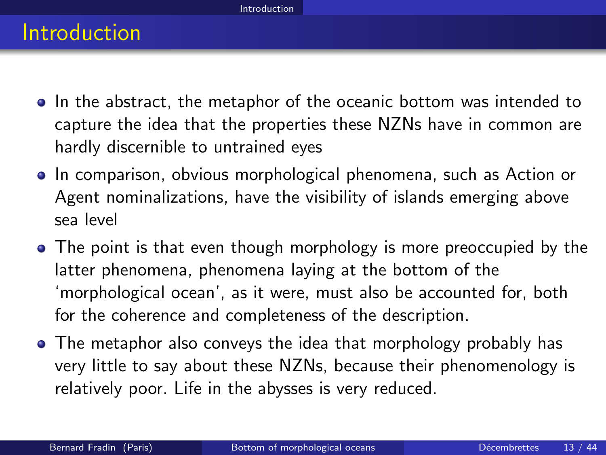#### Introduction

- In the abstract, the metaphor of the oceanic bottom was intended to capture the idea that the properties these NZNs have in common are hardly discernible to untrained eyes
- In comparison, obvious morphological phenomena, such as Action or Agent nominalizations, have the visibility of islands emerging above sea level
- The point is that even though morphology is more preoccupied by the latter phenomena, phenomena laying at the bottom of the 'morphological ocean', as it were, must also be accounted for, both for the coherence and completeness of the description.
- <span id="page-13-0"></span>• The metaphor also conveys the idea that morphology probably has very little to say about these NZNs, because their phenomenology is relatively poor. Life in the abysses is very reduced.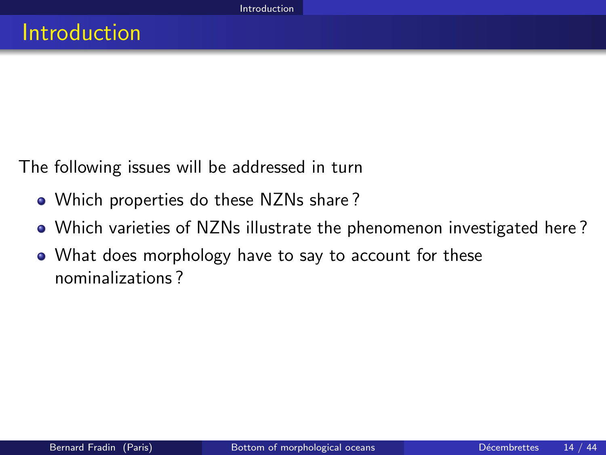The following issues will be addressed in turn

- Which properties do these NZNs share?
- Which varieties of NZNs illustrate the phenomenon investigated here ?
- <span id="page-14-0"></span>What does morphology have to say to account for these nominalizations ?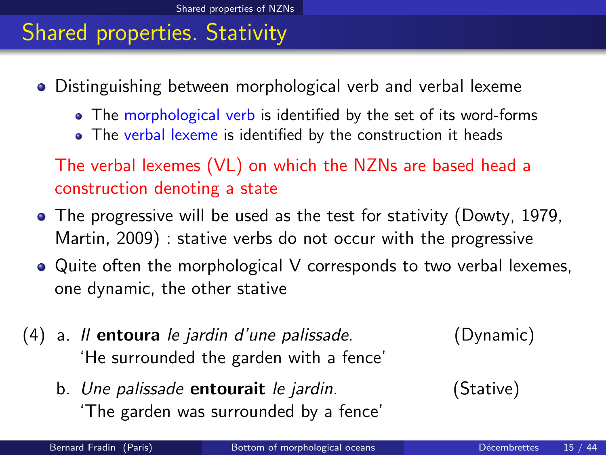## Shared properties. Stativity

- Distinguishing between morphological verb and verbal lexeme
	- The morphological verb is identified by the set of its word-forms
	- The verbal lexeme is identified by the construction it heads

The verbal lexemes (VL) on which the NZNs are based head a construction denoting a state

- The progressive will be used as the test for stativity (Dowty, 1979, Martin, 2009) : stative verbs do not occur with the progressive
- Quite often the morphological V corresponds to two verbal lexemes, one dynamic, the other stative
- (4) a. Il entoura le jardin d'une palissade. (Dynamic) 'He surrounded the garden with a fence'

b. Une palissade **entourait** le jardin. (Stative) 'The garden was surrounded by a fence'

<span id="page-15-0"></span>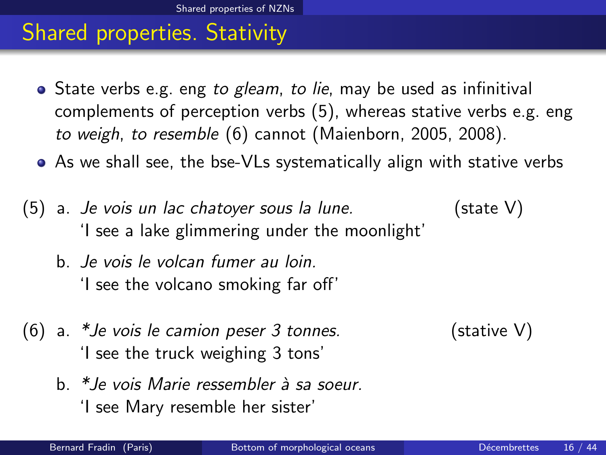## Shared properties. Stativity

- State verbs e.g. eng to gleam, to lie, may be used as infinitival complements of perception verbs [\(5\)](#page-16-1), whereas stative verbs e.g. eng to weigh, to resemble [\(6\)](#page-16-2) cannot (Maienborn, 2005, 2008).
- As we shall see, the bse-VLs systematically align with stative verbs
- <span id="page-16-1"></span> $(5)$  a. *Je vois un lac chatoyer sous la lune.* (state V) 'I see a lake glimmering under the moonlight'
	- b. Je vois le volcan fumer au loin. 'I see the volcano smoking far off'
- <span id="page-16-2"></span>(6) a.  $*J$ e vois le camion peser 3 tonnes. (stative V) 'I see the truck weighing 3 tons'
- <span id="page-16-0"></span>

 $b$ <sup>\*</sup> le vois Marie ressembler à sa soeur. 'I see Mary resemble her sister'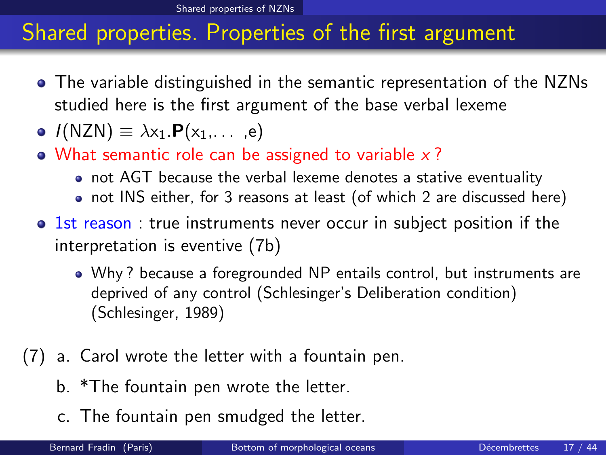[Shared properties of NZNs](#page-17-0)

## Shared properties. Properties of the first argument

- The variable distinguished in the semantic representation of the NZNs studied here is the first argument of the base verbal lexeme
- $I(NZN) \equiv \lambda x_1.P(x_1,...,e)$
- What semantic role can be assigned to variable  $x$ ?
	- not AGT because the verbal lexeme denotes a stative eventuality
	- not INS either, for 3 reasons at least (of which 2 are discussed here)
- 1st reason : true instruments never occur in subject position if the interpretation is eventive [\(7b\)](#page-17-1)
	- Why ? because a foregrounded NP entails control, but instruments are deprived of any control (Schlesinger's Deliberation condition) (Schlesinger, 1989)
- <span id="page-17-3"></span><span id="page-17-2"></span><span id="page-17-1"></span><span id="page-17-0"></span>(7) a. Carol wrote the letter with a fountain pen.
	- b. \*The fountain pen wrote the letter.
	- c. The fountain pen smudged the letter.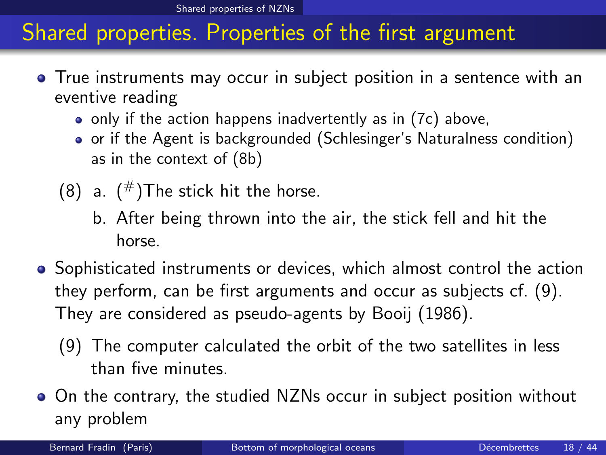# Shared properties. Properties of the first argument

- True instruments may occur in subject position in a sentence with an eventive reading
	- only if the action happens inadvertently as in [\(7c\)](#page-17-2) above,
	- o or if the Agent is backgrounded (Schlesinger's Naturalness condition) as in the context of [\(8b\)](#page-18-1)
	- (8) a.  $(\#)$ The stick hit the horse.
		- b. After being thrown into the air, the stick fell and hit the horse.
- <span id="page-18-1"></span>• Sophisticated instruments or devices, which almost control the action they perform, can be first arguments and occur as subjects cf. [\(9\)](#page-18-2). They are considered as pseudo-agents by Booij (1986).
	- (9) The computer calculated the orbit of the two satellites in less than five minutes.
- <span id="page-18-2"></span><span id="page-18-0"></span>On the contrary, the studied NZNs occur in subject position without any problem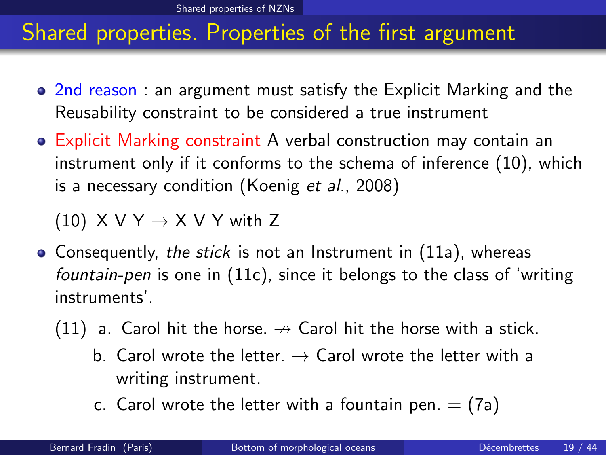# Shared properties. Properties of the first argument

- 2nd reason : an argument must satisfy the Explicit Marking and the Reusability constraint to be considered a true instrument
- Explicit Marking constraint A verbal construction may contain an instrument only if it conforms to the schema of inference [\(10\)](#page-19-1), which is a necessary condition (Koenig et al., 2008)

<span id="page-19-1"></span><span id="page-19-0"></span>(10)  $X V Y \rightarrow X V Y$  with Z

- <span id="page-19-2"></span>• Consequently, the stick is not an Instrument in [\(11a\)](#page-19-2), whereas fountain-pen is one in [\(11c\)](#page-17-3), since it belongs to the class of 'writing instruments'.
	- (11) a. Carol hit the horse.  $\rightarrow$  Carol hit the horse with a stick.
		- b. Carol wrote the letter.  $\rightarrow$  Carol wrote the letter with a writing instrument.
		- c. Carol wrote the letter with a fountain pen.  $=$  (7a)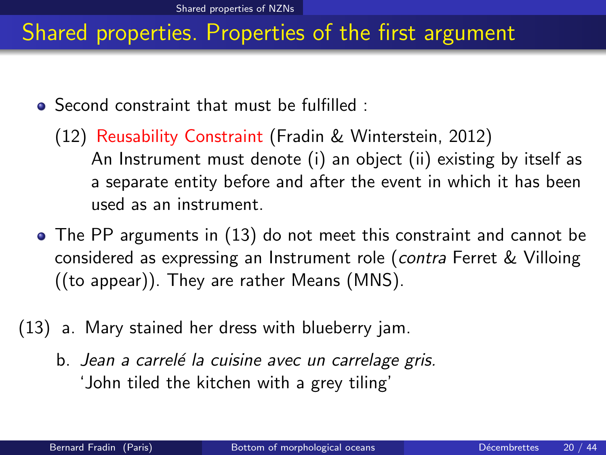# Shared properties. Properties of the first argument

- Second constraint that must be fulfilled :
	- (12) Reusability Constraint (Fradin & Winterstein, 2012) An Instrument must denote (i) an object (ii) existing by itself as a separate entity before and after the event in which it has been used as an instrument.
- The PP arguments in [\(13\)](#page-20-1) do not meet this constraint and cannot be considered as expressing an Instrument role (contra Ferret & Villoing ((to appear)). They are rather Means (MNS).
- <span id="page-20-1"></span><span id="page-20-0"></span>(13) a. Mary stained her dress with blueberry jam.
	- b. Jean a carrelé la cuisine avec un carrelage gris. 'John tiled the kitchen with a grey tiling'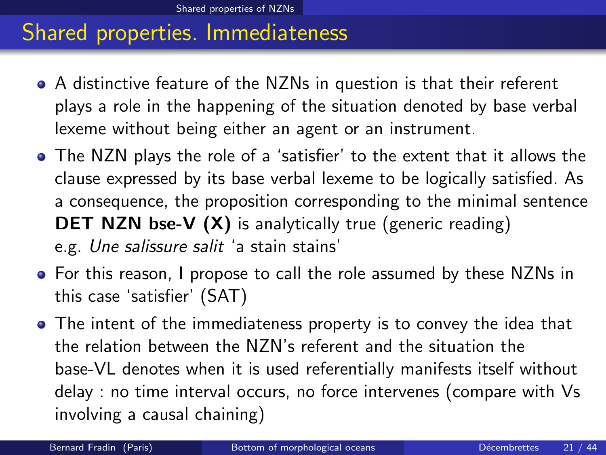#### Shared properties. Immediateness

- A distinctive feature of the NZNs in question is that their referent plays a role in the happening of the situation denoted by base verbal lexeme without being either an agent or an instrument.
- The NZN plays the role of a 'satisfier' to the extent that it allows the clause expressed by its base verbal lexeme to be logically satisfied. As a consequence, the proposition corresponding to the minimal sentence **DET NZN bse-V (X)** is analytically true (generic reading) e.g. Une salissure salit 'a stain stains'
- For this reason, I propose to call the role assumed by these NZNs in this case 'satisfier' (SAT)
- <span id="page-21-0"></span>The intent of the immediateness property is to convey the idea that the relation between the NZN's referent and the situation the base-VL denotes when it is used referentially manifests itself without delay : no time interval occurs, no force intervenes (compare with Vs involving a causal chaining)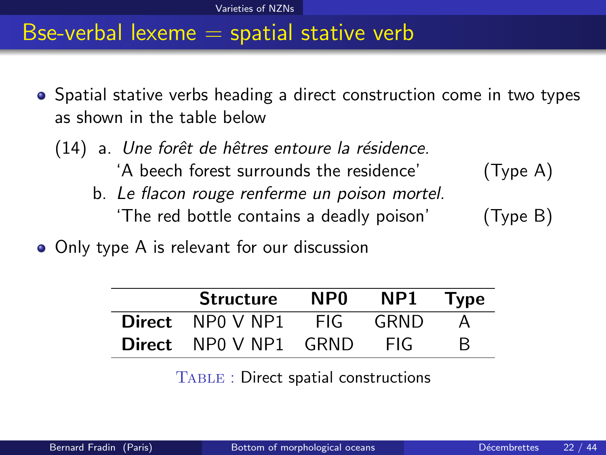#### Bse-verbal lexeme  $=$  spatial stative verb

- Spatial stative verbs heading a direct construction come in two types as shown in the table below
	- (14) a. Une forêt de hêtres entoure la résidence. 'A beech forest surrounds the residence' (Type A) b. Le flacon rouge renferme un poison mortel. 'The red bottle contains a deadly poison' (Type B)
- Only type A is relevant for our discussion

| <b>Structure</b>             | NP <sub>0</sub> | NP1   | <b>Type</b> |
|------------------------------|-----------------|-------|-------------|
| <b>Direct</b> NPO V NP1      | - FIG-          | GRND  |             |
| <b>Direct</b> NPO V NP1 GRND |                 | - FIG |             |

<span id="page-22-0"></span>Table : Direct spatial constructions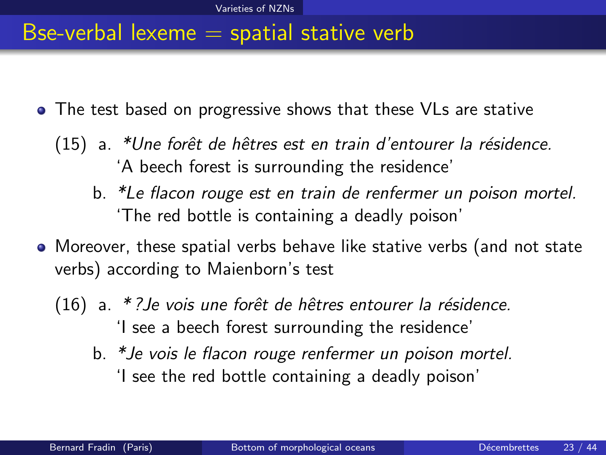#### Bse-verbal lexeme  $=$  spatial stative verb

- <span id="page-23-1"></span>• The test based on progressive shows that these VLs are stative
	- $(15)$  a. \*Une forêt de hêtres est en train d'entourer la résidence. 'A beech forest is surrounding the residence'
		- b. \*Le flacon rouge est en train de renfermer un poison mortel. 'The red bottle is containing a deadly poison'
- <span id="page-23-2"></span><span id="page-23-0"></span>Moreover, these spatial verbs behave like stative verbs (and not state verbs) according to Maienborn's test
	- (16) a. \*? Je vois une forêt de hêtres entourer la résidence. 'I see a beech forest surrounding the residence'
		- b. \*Je vois le flacon rouge renfermer un poison mortel. 'I see the red bottle containing a deadly poison'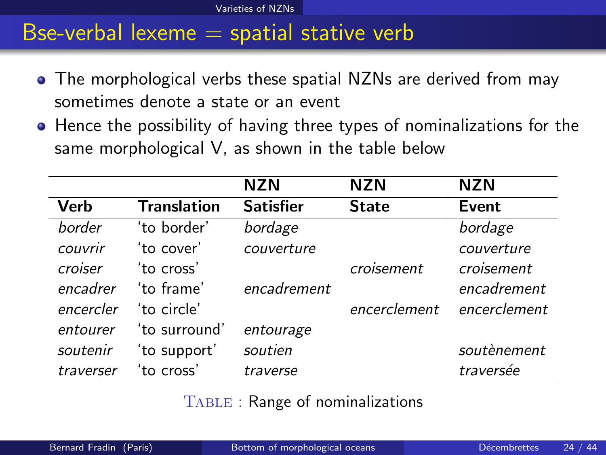[Varieties of NZNs](#page-24-0)

#### Bse-verbal lexeme  $=$  spatial stative verb

- The morphological verbs these spatial NZNs are derived from may sometimes denote a state or an event
- Hence the possibility of having three types of nominalizations for the same morphological V, as shown in the table below

|             |                    | <b>NZN</b>       | <b>NZN</b>   | <b>NZN</b>   |
|-------------|--------------------|------------------|--------------|--------------|
| <b>Verb</b> | <b>Translation</b> | <b>Satisfier</b> | <b>State</b> | Event        |
| border      | 'to border'        | bordage          |              | bordage      |
| couvrir     | 'to cover'         | couverture       |              | couverture   |
| croiser     | 'to cross'         |                  | croisement   | croisement   |
| encadrer    | 'to frame'         | encadrement      |              | encadrement  |
| encercler   | 'to circle'        |                  | encerclement | encerclement |
| entourer    | 'to surround'      | entourage        |              |              |
| soutenir    | 'to support'       | soutien          |              | soutènement  |
| traverser   | 'to cross'         | traverse         |              | traversée    |

<span id="page-24-0"></span>Table : Range of nominalizations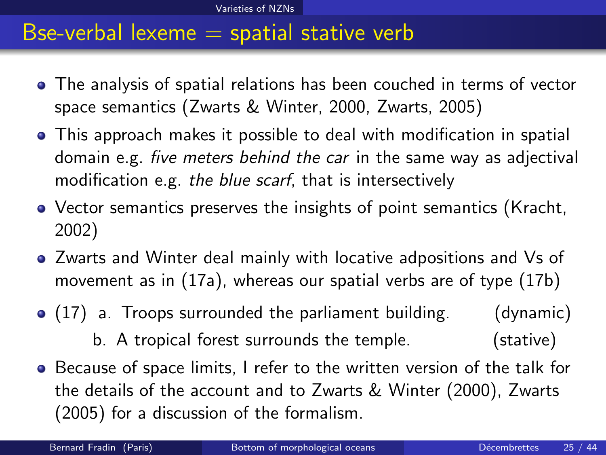#### Bse-verbal lexeme  $=$  spatial stative verb

- The analysis of spatial relations has been couched in terms of vector space semantics (Zwarts & Winter, 2000, Zwarts, 2005)
- This approach makes it possible to deal with modification in spatial domain e.g. five meters behind the car in the same way as adjectival modification e.g. the blue scarf, that is intersectively
- Vector semantics preserves the insights of point semantics (Kracht, 2002)
- Zwarts and Winter deal mainly with locative adpositions and Vs of movement as in [\(17a\)](#page-25-1), whereas our spatial verbs are of type [\(17b\)](#page-25-2)
- <span id="page-25-2"></span><span id="page-25-1"></span>(17) a. Troops surrounded the parliament building. (dynamic) b. A tropical forest surrounds the temple. (stative)
- <span id="page-25-0"></span>Because of space limits, I refer to the written version of the talk for the details of the account and to Zwarts & Winter (2000), Zwarts (2005) for a discussion of the formalism.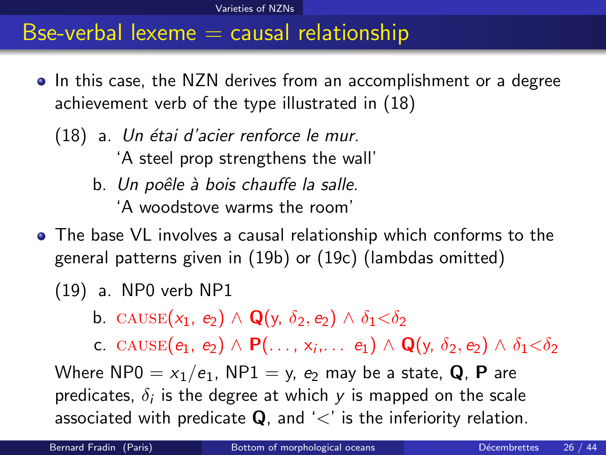- <span id="page-26-4"></span><span id="page-26-1"></span>• In this case, the NZN derives from an accomplishment or a degree achievement verb of the type illustrated in [\(18\)](#page-26-1)
	- $(18)$  a. Un étai d'acier renforce le mur. 'A steel prop strengthens the wall' b. Un poêle à bois chauffe la salle.

'A woodstove warms the room'

- <span id="page-26-6"></span><span id="page-26-5"></span>The base VL involves a causal relationship which conforms to the general patterns given in [\(19b\)](#page-26-2) or [\(19c\)](#page-26-3) (lambdas omitted)
	- (19) a. NP0 verb NP1

<span id="page-26-0"></span>b. CAUSE $(x_1, e_2) \wedge \mathbf{Q}(y, \delta_2, e_2) \wedge \delta_1 < \delta_2$ 

<span id="page-26-3"></span><span id="page-26-2"></span>c. CAUSE $(e_1, e_2) \wedge \mathsf{P}(\ldots, x_i, \ldots e_1) \wedge \mathsf{Q}(y, \delta_2, e_2) \wedge \delta_1 < \delta_2$ Where NP0 =  $x_1/e_1$ , NP1 = y,  $e_2$  may be a state, Q, P are predicates,  $\delta_i$  is the degree at which  $y$  is mapped on the scale associated with predicate  $Q$ , and ' $\lt'$ ' is the inferiority relation.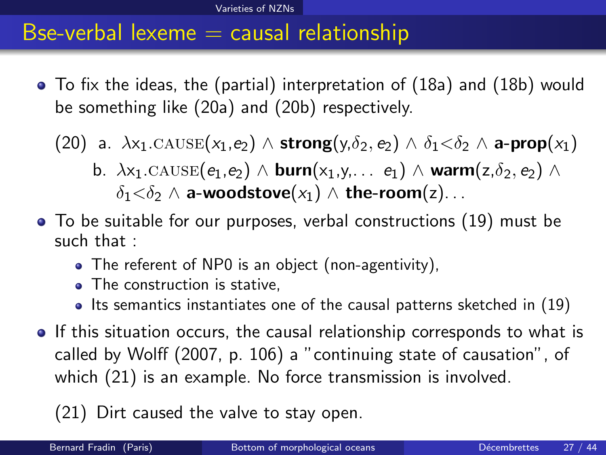To fix the ideas, the (partial) interpretation of [\(18a\)](#page-26-4) and [\(18b\)](#page-26-5) would be something like [\(20a\)](#page-23-1) and [\(20b\)](#page-23-2) respectively.

(20) a.  $\lambda x_1$ .CAUSE( $x_1,e_2$ )  $\wedge$  strong( $y,\delta_2,e_2$ )  $\wedge \delta_1<\delta_2$   $\wedge$  a-prop( $x_1$ )

- b.  $\lambda x_1$ .CAUSE $(e_1,e_2) \wedge$  burn $(x_1,y,\ldots, e_1) \wedge$  warm $(z,\delta_2,e_2) \wedge$  $\delta_1<\delta_2\wedge$  a-woodstove $(x_1)\wedge$  the-room $(z)$ ...
- To be suitable for our purposes, verbal constructions [\(19\)](#page-26-6) must be such that :
	- The referent of NP0 is an object (non-agentivity),
	- The construction is stative,
	- $\bullet$  Its semantics instantiates one of the causal patterns sketched in [\(19\)](#page-26-6)
- If this situation occurs, the causal relationship corresponds to what is called by Wolff (2007, p. 106) a "continuing state of causation", of which [\(21\)](#page-27-1) is an example. No force transmission is involved.

<span id="page-27-1"></span><span id="page-27-0"></span>(21) Dirt caused the valve to stay open.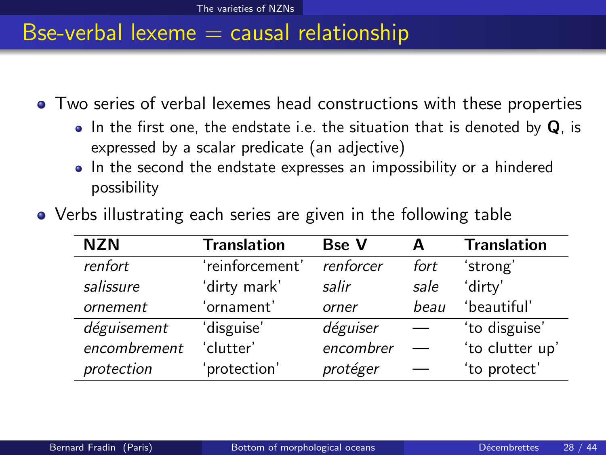Two series of verbal lexemes head constructions with these properties

- In the first one, the endstate i.e. the situation that is denoted by  $Q$ , is expressed by a scalar predicate (an adjective)
- In the second the endstate expresses an impossibility or a hindered possibility

<span id="page-28-0"></span>

| <b>NZN</b>   | <b>Translation</b> | <b>Bse V</b> | А    | <b>Translation</b> |
|--------------|--------------------|--------------|------|--------------------|
| renfort      | 'reinforcement'    | renforcer    | fort | 'strong'           |
| salissure    | 'dirty mark'       | salir        | sale | 'dirty'            |
| ornement     | 'ornament'         | orner        | beau | 'beautiful'        |
| déguisement  | 'disguise'         | déguiser     |      | 'to disguise'      |
| encombrement | 'clutter'          | encombrer    |      | 'to clutter up'    |
| protection   | protection'        | protéger     |      | 'to protect'       |

Verbs illustrating each series are given in the following table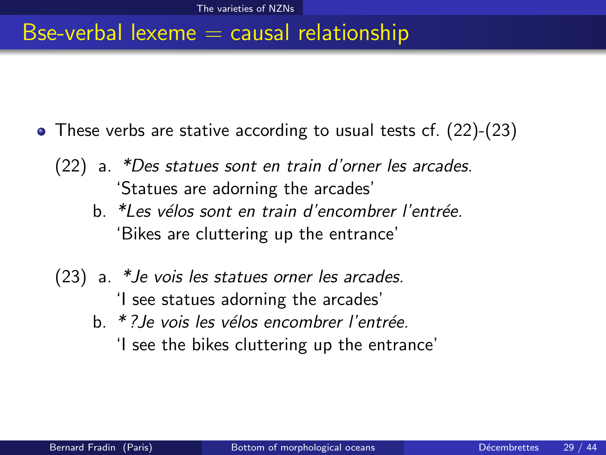- <span id="page-29-2"></span><span id="page-29-1"></span><span id="page-29-0"></span>These verbs are stative according to usual tests cf. [\(22\)](#page-29-1)-[\(23\)](#page-29-2)
	- (22) a. \*Des statues sont en train d'orner les arcades. 'Statues are adorning the arcades'
		- b. \*Les vélos sont en train d'encombrer l'entrée. 'Bikes are cluttering up the entrance'
	- (23) a. \*Je vois les statues orner les arcades. 'I see statues adorning the arcades'
		- b. \* ? Je vois les vélos encombrer l'entrée. 'I see the bikes cluttering up the entrance'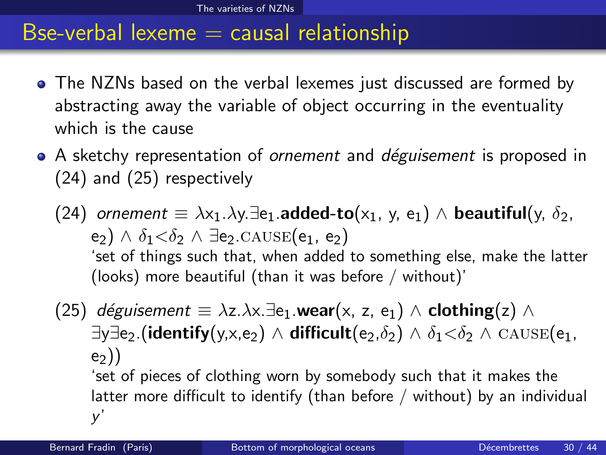- The NZNs based on the verbal lexemes just discussed are formed by abstracting away the variable of object occurring in the eventuality which is the cause
- A sketchy representation of *ornement* and *déguisement* is proposed in [\(24\)](#page-30-1) and [\(25\)](#page-30-2) respectively

<span id="page-30-1"></span>(24) ornement  $\equiv \lambda x_1.\lambda y.\exists e_1.\text{added-to}(x_1, y, e_1) \wedge \text{beautiful}(y, \delta_2,$ e<sub>2</sub>)  $\wedge$   $\delta_1 < \delta_2$   $\wedge$  ∃e<sub>2</sub>.cause(e<sub>1</sub>, e<sub>2</sub>) 'set of things such that, when added to something else, make the latter (looks) more beautiful (than it was before / without)'

<span id="page-30-2"></span><span id="page-30-0"></span>(25) déguisement  $\equiv \lambda z.\lambda x.\exists$ e<sub>1</sub>.wear(x, z, e<sub>1</sub>)  $\wedge$  clothing(z)  $\wedge$  $\exists y \exists e_2$ .(identify(y,x,e<sub>2</sub>)  $\wedge$  difficult(e<sub>2</sub>, $\delta_2$ )  $\wedge$   $\delta_1 < \delta_2$   $\wedge$  CAUSE(e<sub>1</sub>,  $e_2)$ 'set of pieces of clothing worn by somebody such that it makes the latter more difficult to identify (than before / without) by an individual y'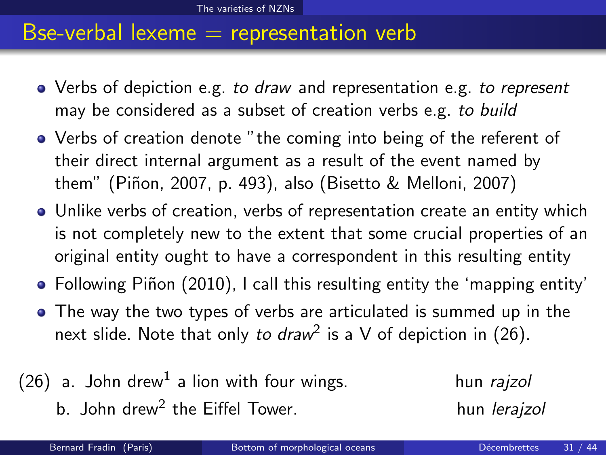- Verbs of depiction e.g. to draw and representation e.g. to represent may be considered as a subset of creation verbs e.g. to build
- Verbs of creation denote "the coming into being of the referent of their direct internal argument as a result of the event named by them" (Piñon, 2007, p. 493), also (Bisetto & Melloni, 2007)
- Unlike verbs of creation, verbs of representation create an entity which is not completely new to the extent that some crucial properties of an original entity ought to have a correspondent in this resulting entity
- Following Piñon (2010), I call this resulting entity the 'mapping entity'
- <span id="page-31-0"></span>The way the two types of verbs are articulated is summed up in the next slide. Note that only *to draw*<sup>2</sup> is a V of depiction in [\(26\)](#page-31-1).
- <span id="page-31-1"></span> $(26)$  a. John drew<sup>1</sup> a lion with four wings.  $h$ un *rajzol* b. John drew<sup>2</sup> the Eiffel Tower. The state of the hun lerajzol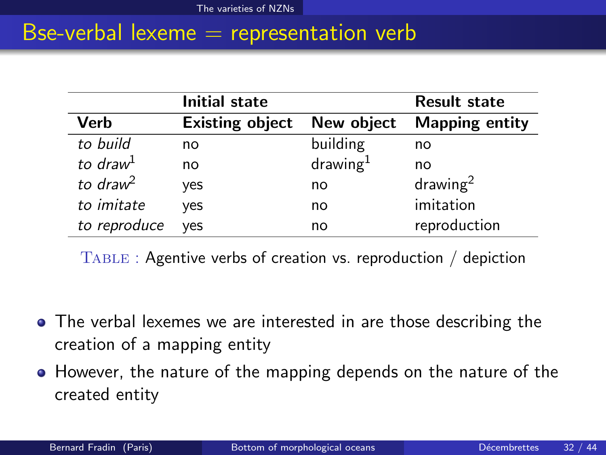|                      | Initial state          |                      | <b>Result state</b>   |
|----------------------|------------------------|----------------------|-----------------------|
| Verb                 | <b>Existing object</b> | New object           | <b>Mapping entity</b> |
| to build             | no                     | building             | no                    |
| to draw <sup>1</sup> | no                     | drawing <sup>1</sup> | no                    |
| to draw <sup>2</sup> | yes                    | no                   | drawing <sup>2</sup>  |
| to imitate           | yes                    | no                   | imitation             |
| to reproduce         | ves                    | no                   | reproduction          |

<span id="page-32-0"></span>Table : Agentive verbs of creation vs. reproduction / depiction

- The verbal lexemes we are interested in are those describing the creation of a mapping entity
- However, the nature of the mapping depends on the nature of the created entity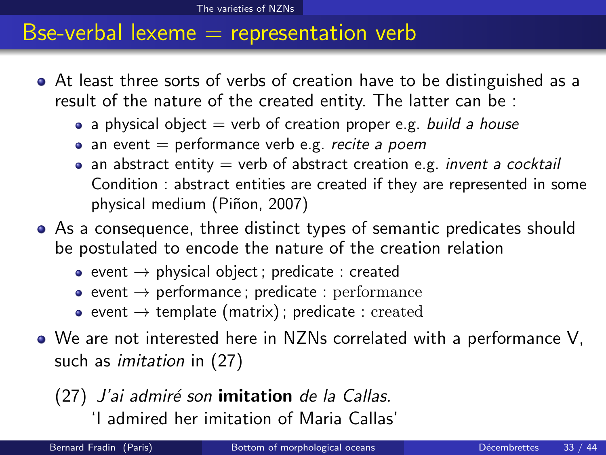- At least three sorts of verbs of creation have to be distinguished as a result of the nature of the created entity. The latter can be :
	- a physical object  $=$  verb of creation proper e.g. build a house
	- $\bullet$  an event = performance verb e.g. recite a poem
	- an abstract entity  $=$  verb of abstract creation e.g. *invent a cocktail* Condition : abstract entities are created if they are represented in some physical medium (Piñon, 2007)
- As a consequence, three distinct types of semantic predicates should be postulated to encode the nature of the creation relation
	- event  $\rightarrow$  physical object; predicate : created
	- event  $\rightarrow$  performance; predicate : performance
	- event  $\rightarrow$  template (matrix); predicate : created
- We are not interested here in NZNs correlated with a performance V, such as *imitation* in [\(27\)](#page-33-1)

<span id="page-33-1"></span> $(27)$  J'ai admiré son imitation de la Callas. 'I admired her imitation of Maria Callas'

<span id="page-33-0"></span>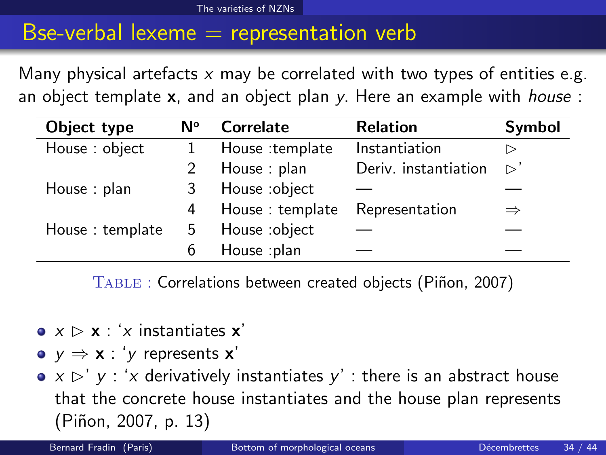Many physical artefacts  $x$  may be correlated with two types of entities e.g. an object template  $x$ , and an object plan y. Here an example with *house* :

| Object type     | N۰ | Correlate       | <b>Relation</b>      | Symbol             |
|-----------------|----|-----------------|----------------------|--------------------|
| House: object   |    | House :template | Instantiation        | ▷                  |
|                 |    | House: plan     | Deriv. instantiation | $\triangleright$ ' |
| House : $plan$  | 3  | House :object   |                      |                    |
|                 | 4  | House: template | Representation       | $\Rightarrow$      |
| House: template | 5  | House :object   |                      |                    |
|                 |    | House :plan     |                      |                    |

<span id="page-34-0"></span>TABLE : Correlations between created objects (Piñon, 2007)

- $\bullet$   $x \triangleright x$  : 'x instantiates  $x'$
- $v \Rightarrow x : 'v$  represents x'
- $\bullet$  x  $\triangleright'$  y : 'x derivatively instantiates y' : there is an abstract house that the concrete house instantiates and the house plan represents (Piñon, 2007, p. 13)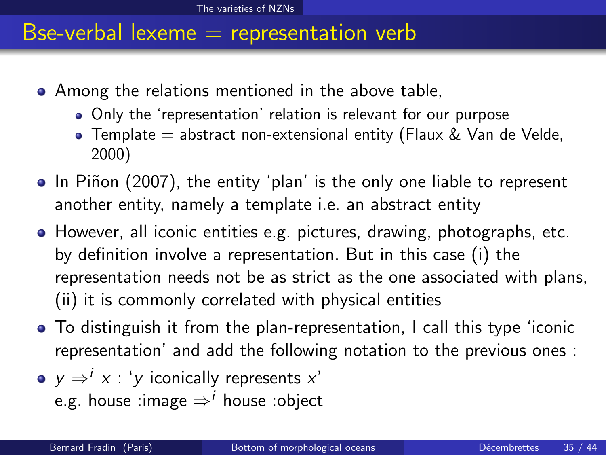- Among the relations mentioned in the above table,
	- Only the 'representation' relation is relevant for our purpose
	- Template  $=$  abstract non-extensional entity (Flaux & Van de Velde, 2000)
- In Piñon (2007), the entity 'plan' is the only one liable to represent another entity, namely a template i.e. an abstract entity
- However, all iconic entities e.g. pictures, drawing, photographs, etc. by definition involve a representation. But in this case (i) the representation needs not be as strict as the one associated with plans, (ii) it is commonly correlated with physical entities
- To distinguish it from the plan-representation, I call this type 'iconic representation' and add the following notation to the previous ones :
- <span id="page-35-0"></span> $y \Rightarrow^{i} x$  : 'y iconically represents  $x^{i}$ e.g. house :image  $\Rightarrow$ <sup>*i*</sup> house :object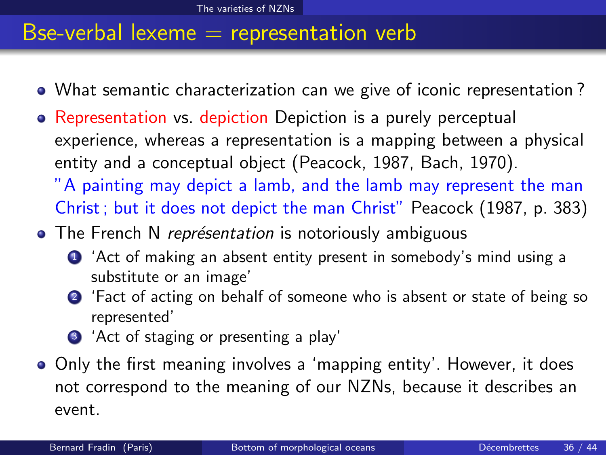- What semantic characterization can we give of iconic representation ?
- Representation vs. depiction Depiction is a purely perceptual experience, whereas a representation is a mapping between a physical entity and a conceptual object (Peacock, 1987, Bach, 1970). "A painting may depict a lamb, and the lamb may represent the man
	- Christ ; but it does not depict the man Christ" Peacock (1987, p. 383)
- The French N représentation is notoriously ambiguous
	- **1** 'Act of making an absent entity present in somebody's mind using a substitute or an image'
	- <sup>2</sup> 'Fact of acting on behalf of someone who is absent or state of being so represented'
	- <sup>3</sup> 'Act of staging or presenting a play'
- <span id="page-36-0"></span>• Only the first meaning involves a 'mapping entity'. However, it does not correspond to the meaning of our NZNs, because it describes an event.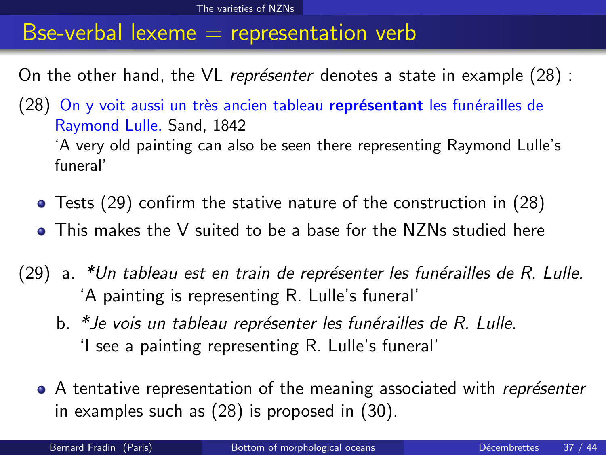On the other hand, the VL représenter denotes a state in example  $(28)$ :

- <span id="page-37-1"></span>(28) On y voit aussi un très ancien tableau représentant les funérailles de Raymond Lulle. Sand, 1842 'A very old painting can also be seen there representing Raymond Lulle's funeral'
	- Tests [\(29\)](#page-37-2) confirm the stative nature of the construction in [\(28\)](#page-37-1)
	- This makes the V suited to be a base for the NZNs studied here
- <span id="page-37-2"></span><span id="page-37-0"></span> $(29)$  a. \*Un tableau est en train de représenter les funérailles de R. Lulle. 'A painting is representing R. Lulle's funeral'
	- b. \*Je vois un tableau représenter les funérailles de R. Lulle. 'I see a painting representing R. Lulle's funeral'
	- A tentative representation of the meaning associated with *représenter* in examples such as [\(28\)](#page-37-1) is proposed in [\(30\)](#page-38-0).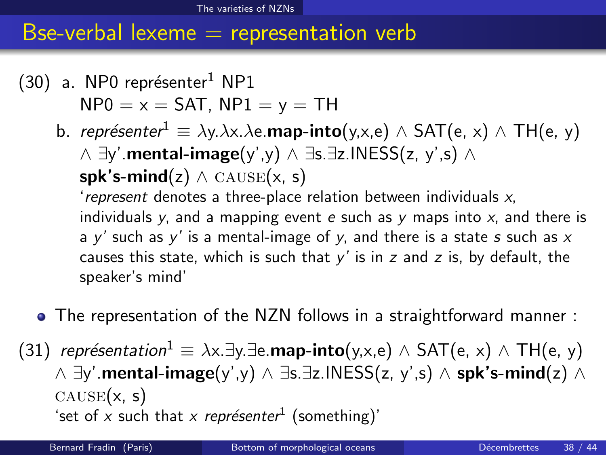- <span id="page-38-0"></span> $(30)$  a. NP0 représenter<sup>1</sup> NP1  $NP0 = x = SAT$ ,  $NP1 = y = TH$ 
	- b. représenter<sup>1</sup>  $\equiv \lambda y. \lambda x. \lambda e.$ **map-into**(y,x,e)  $\wedge$  SAT(e, x)  $\wedge$  TH(e, y) ∧ ∃y'.mental-image(y',y) ∧ ∃s.∃z.INESS(z, y',s) ∧ spk's-mind(z)  $\land$  CAUSE(x, s) 'represent denotes a three-place relation between individuals  $x$ , individuals y, and a mapping event e such as y maps into  $x$ , and there is
		- a  $y'$  such as  $y'$  is a mental-image of  $y$ , and there is a state s such as  $x$ causes this state, which is such that  $y'$  is in z and z is, by default, the speaker's mind'
	- The representation of the NZN follows in a straightforward manner :
- <span id="page-38-1"></span>(31) représentation<sup>1</sup>  $\equiv \lambda x.\exists y.\exists e.\text{map-into}(y,x,e) \wedge SAT(e, x) \wedge TH(e, y)$  $\land \exists y'$ .mental-image(y',y)  $\land \exists s.\exists z.\mathsf{INESS}(z, y', s)$   $\land$  spk's-mind(z)  $\land$  $CAUSE(x, s)$ 'set of x such that x représenter<sup>1</sup> (something)'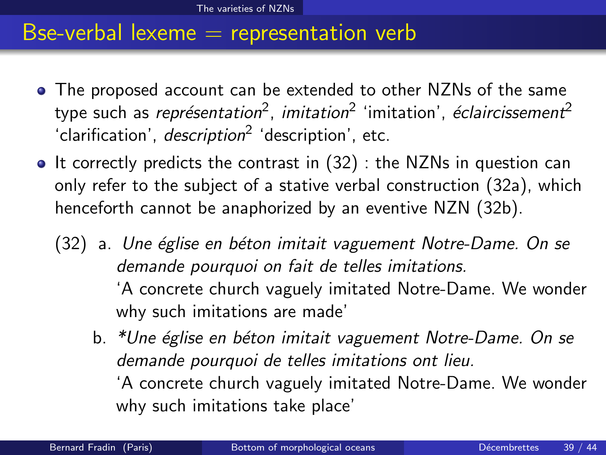- The proposed account can be extended to other NZNs of the same type such as *représentation<sup>2</sup>, imitation<sup>2</sup> '*imitation', *éclaircissement<sup>2</sup>* 'clarification', *description*<sup>2</sup> 'description', etc.
- <span id="page-39-3"></span><span id="page-39-2"></span><span id="page-39-1"></span><span id="page-39-0"></span> $\bullet$  It correctly predicts the contrast in [\(32\)](#page-39-1) : the NZNs in question can only refer to the subject of a stative verbal construction [\(32a\)](#page-39-2), which henceforth cannot be anaphorized by an eventive NZN [\(32b\)](#page-39-3).
	- (32) a. Une église en béton imitait vaguement Notre-Dame. On se demande pourquoi on fait de telles imitations. 'A concrete church vaguely imitated Notre-Dame. We wonder why such imitations are made'
		- b. \*Une église en béton imitait vaguement Notre-Dame. On se demande pourquoi de telles imitations ont lieu. 'A concrete church vaguely imitated Notre-Dame. We wonder why such imitations take place'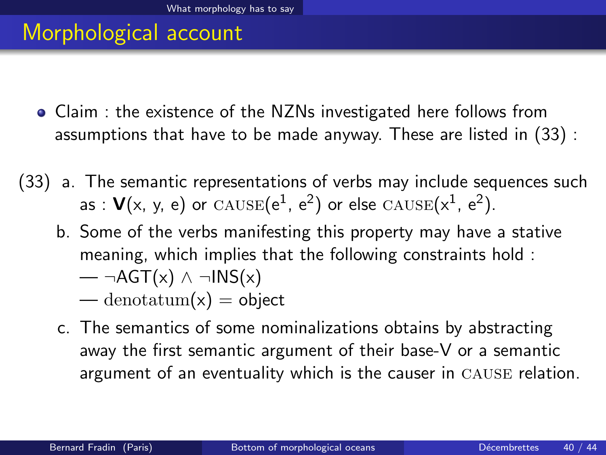#### Morphological account

- Claim : the existence of the NZNs investigated here follows from assumptions that have to be made anyway. These are listed in [\(33\)](#page-40-1) :
- <span id="page-40-1"></span>(33) a. The semantic representations of verbs may include sequences such as :  $\mathsf{V}(x, y, e)$  or  $\mathrm{CAUSE}(e^1, e^2)$  or else  $\mathrm{CAUSE}(x^1, e^2).$ 
	- b. Some of the verbs manifesting this property may have a stative meaning, which implies that the following constraints hold :  $\rightarrow$  ¬AGT(x) ∧ ¬INS(x)

<span id="page-40-0"></span>— denotatum $(x)$  = object

c. The semantics of some nominalizations obtains by abstracting away the first semantic argument of their base-V or a semantic argument of an eventuality which is the causer in cause relation.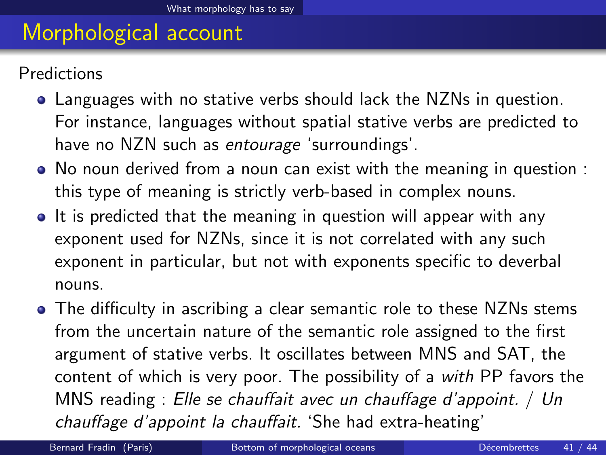#### Morphological account

Predictions

- Languages with no stative verbs should lack the NZNs in question. For instance, languages without spatial stative verbs are predicted to have no NZN such as entourage 'surroundings'.
- No noun derived from a noun can exist with the meaning in question : this type of meaning is strictly verb-based in complex nouns.
- It is predicted that the meaning in question will appear with any exponent used for NZNs, since it is not correlated with any such exponent in particular, but not with exponents specific to deverbal nouns.
- The difficulty in ascribing a clear semantic role to these NZNs stems from the uncertain nature of the semantic role assigned to the first argument of stative verbs. It oscillates between MNS and SAT, the content of which is very poor. The possibility of a with PP favors the MNS reading : Elle se chauffait avec un chauffage d'appoint. / Un chauffage d'appoint la chauffait. 'She had extra-heating'

<span id="page-41-0"></span>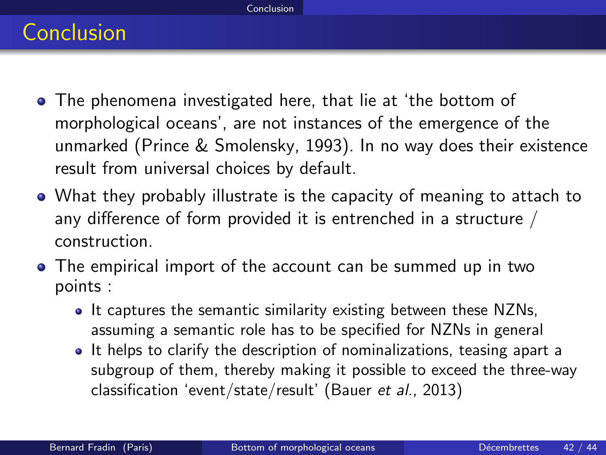# Conclusion

- The phenomena investigated here, that lie at 'the bottom of morphological oceans', are not instances of the emergence of the unmarked (Prince & Smolensky, 1993). In no way does their existence result from universal choices by default.
- What they probably illustrate is the capacity of meaning to attach to any difference of form provided it is entrenched in a structure / construction.
- <span id="page-42-0"></span>The empirical import of the account can be summed up in two points :
	- It captures the semantic similarity existing between these NZNs, assuming a semantic role has to be specified for NZNs in general
	- It helps to clarify the description of nominalizations, teasing apart a subgroup of them, thereby making it possible to exceed the three-way classification 'event/state/result' (Bauer et al., 2013)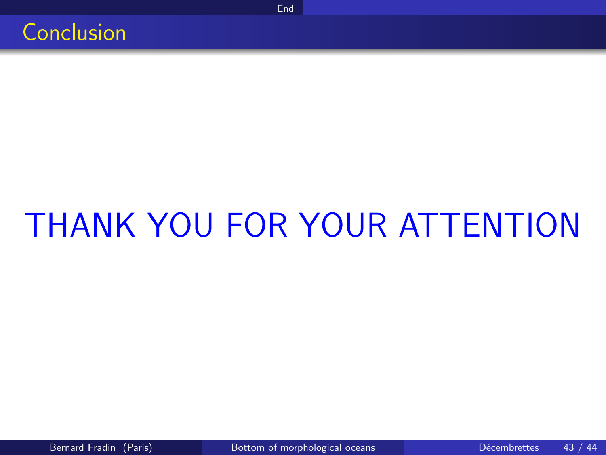

# THANK YOU FOR YOUR ATTENTION

[End](#page-43-0)

<span id="page-43-0"></span>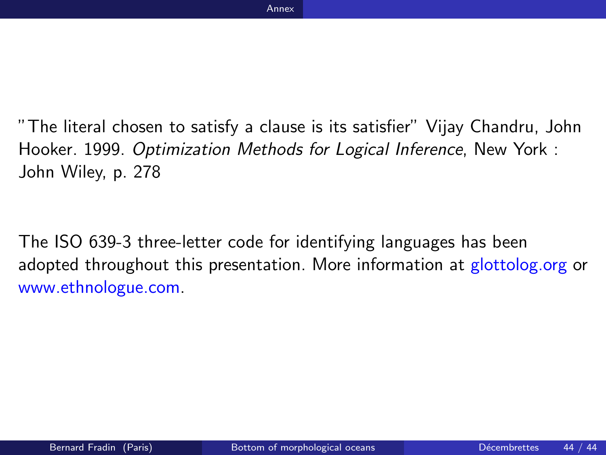"The literal chosen to satisfy a clause is its satisfier" Vijay Chandru, John Hooker. 1999. Optimization Methods for Logical Inference, New York : John Wiley, p. 278

<span id="page-44-0"></span>The ISO 639-3 three-letter code for identifying languages has been adopted throughout this presentation. More information at glottolog.org or www.ethnologue.com.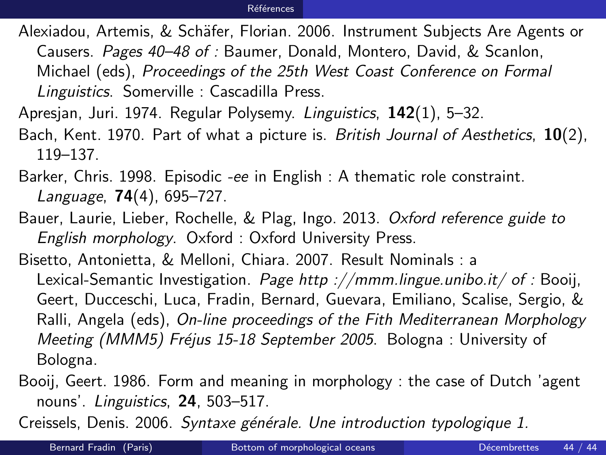#### Références

Alexiadou, Artemis, & Schäfer, Florian. 2006. Instrument Subjects Are Agents or

Causers. Pages 40–48 of : Baumer, Donald, Montero, David, & Scanlon,

Michael (eds), Proceedings of the 25th West Coast Conference on Formal Linguistics. Somerville : Cascadilla Press.

- Apresjan, Juri. 1974. Regular Polysemy. Linguistics, 142(1), 5–32.
- Bach, Kent. 1970. Part of what a picture is. British Journal of Aesthetics,  $10(2)$ , 119–137.
- Barker, Chris. 1998. Episodic -ee in English : A thematic role constraint. Language, 74(4), 695–727.
- Bauer, Laurie, Lieber, Rochelle, & Plag, Ingo. 2013. Oxford reference guide to English morphology. Oxford : Oxford University Press.
- Bisetto, Antonietta, & Melloni, Chiara. 2007. Result Nominals : a Lexical-Semantic Investigation. Page http://mmm.lingue.unibo.it/ of : Booii, Geert, Ducceschi, Luca, Fradin, Bernard, Guevara, Emiliano, Scalise, Sergio, & Ralli, Angela (eds), On-line proceedings of the Fith Mediterranean Morphology Meeting (MMM5) Fréjus 15-18 September 2005. Bologna : University of Bologna.
- Booij, Geert. 1986. Form and meaning in morphology : the case of Dutch 'agent nouns'. Linguistics, 24, 503–517.

Creissels, Denis. 2006. Syntaxe générale. Une introduction typologique 1.

<span id="page-45-0"></span>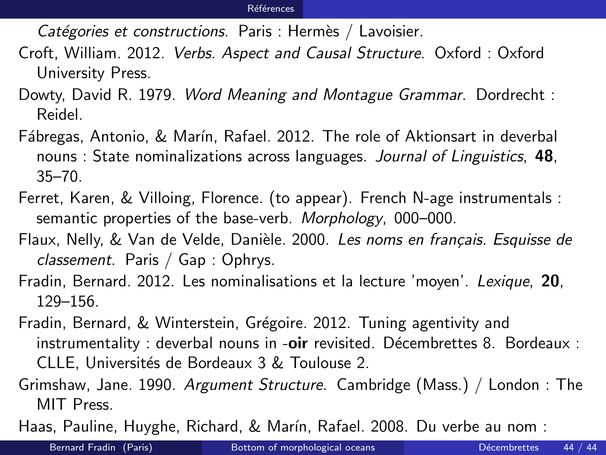Catégories et constructions. Paris : Hermès / Lavoisier.

- Croft, William. 2012. Verbs. Aspect and Causal Structure. Oxford : Oxford University Press.
- Dowty, David R. 1979. Word Meaning and Montague Grammar. Dordrecht : Reidel.
- Fábregas, Antonio, & Marín, Rafael. 2012. The role of Aktionsart in deverbal nouns : State nominalizations across languages. Journal of Linguistics, 48, 35–70.
- Ferret, Karen, & Villoing, Florence. (to appear). French N-age instrumentals : semantic properties of the base-verb. Morphology, 000–000.
- Flaux, Nelly, & Van de Velde, Danièle. 2000. Les noms en français. Esquisse de classement. Paris / Gap : Ophrys.
- Fradin, Bernard. 2012. Les nominalisations et la lecture 'moyen'. Lexique, 20, 129–156.
- Fradin, Bernard, & Winterstein, Grégoire. 2012. Tuning agentivity and  $instrumentality: *deverbal* nouns in *-oir* revisited. *Décembrettes* 8. *Bordeaux* :$ CLLE, Universités de Bordeaux 3 & Toulouse 2.
- Grimshaw, Jane. 1990. Argument Structure. Cambridge (Mass.) / London : The MIT Press.

Haas, Pauline, Huyghe, Richard, & Marín, Rafael. 2008. Du verbe au nom :

<span id="page-46-0"></span>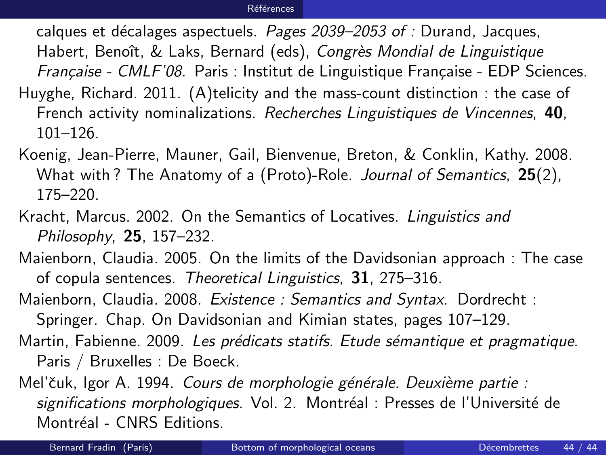calques et décalages aspectuels. Pages 2039–2053 of : Durand, Jacques, Habert, Benoît, & Laks, Bernard (eds), Congrès Mondial de Linguistique Française - CMLF'08. Paris : Institut de Linguistique Française - EDP Sciences. Huyghe, Richard. 2011. (A)telicity and the mass-count distinction : the case of

- French activity nominalizations. Recherches Linguistiques de Vincennes, 40, 101–126.
- Koenig, Jean-Pierre, Mauner, Gail, Bienvenue, Breton, & Conklin, Kathy. 2008. What with? The Anatomy of a (Proto)-Role. Journal of Semantics, 25(2), 175–220.
- Kracht, Marcus. 2002. On the Semantics of Locatives. Linguistics and Philosophy, 25, 157–232.
- Maienborn, Claudia. 2005. On the limits of the Davidsonian approach : The case of copula sentences. Theoretical Linguistics, 31, 275–316.
- Maienborn, Claudia. 2008. Existence : Semantics and Syntax. Dordrecht : Springer. Chap. On Davidsonian and Kimian states, pages 107–129.
- Martin, Fabienne. 2009. Les prédicats statifs. Etude sémantique et pragmatique. Paris / Bruxelles : De Boeck.

Mel'čuk, Igor A. 1994. Cours de morphologie générale. Deuxième partie : significations morphologiques. Vol. 2. Montréal : Presses de l'Université de Montréal - CNRS Editions.

<span id="page-47-0"></span>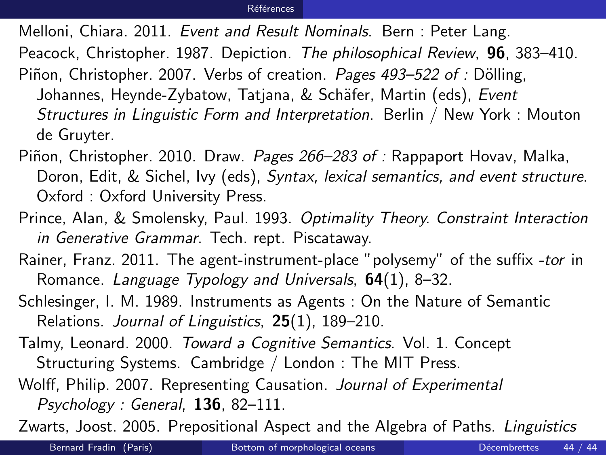#### <span id="page-48-0"></span>Références

Melloni, Chiara. 2011. Event and Result Nominals. Bern : Peter Lang.

Peacock, Christopher. 1987. Depiction. The philosophical Review, 96, 383-410.

Piñon, Christopher. 2007. Verbs of creation. Pages 493–522 of : Dölling,

Johannes, Heynde-Zybatow, Tatjana, & Schäfer, Martin (eds), Event Structures in Linguistic Form and Interpretation. Berlin / New York : Mouton de Gruyter.

Piñon, Christopher. 2010. Draw. Pages 266–283 of : Rappaport Hovav, Malka, Doron, Edit, & Sichel, Ivy (eds), Syntax, lexical semantics, and event structure. Oxford : Oxford University Press.

Prince, Alan, & Smolensky, Paul. 1993. Optimality Theory. Constraint Interaction in Generative Grammar. Tech. rept. Piscataway.

Rainer, Franz. 2011. The agent-instrument-place "polysemy" of the suffix -tor in Romance. Language Typology and Universals,  $64(1)$ , 8–32.

Schlesinger, I. M. 1989. Instruments as Agents : On the Nature of Semantic Relations. Journal of Linguistics, 25(1), 189–210.

Talmy, Leonard. 2000. Toward a Cognitive Semantics. Vol. 1. Concept

Structuring Systems. Cambridge / London : The MIT Press.

Wolff, Philip. 2007. Representing Causation. Journal of Experimental Psychology : General, 136, 82–111.

Zwarts, Joost. 2005. Prepositional Aspect and the Algebra of Paths. Linguistics